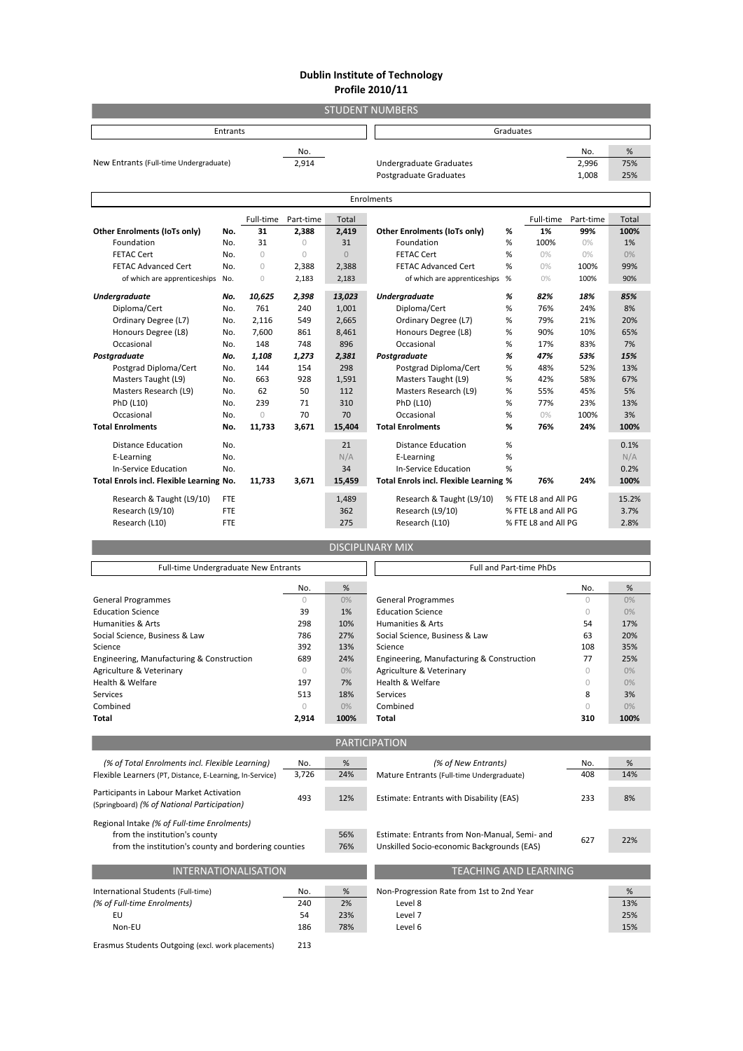## **Dublin Institute of Technology Profile 2010/11**

| <b>STUDENT NUMBERS</b>                   |            |            |            |              |                                        |   |                             |           |       |
|------------------------------------------|------------|------------|------------|--------------|----------------------------------------|---|-----------------------------|-----------|-------|
| <b>Entrants</b>                          |            |            |            |              | Graduates                              |   |                             |           |       |
| No.                                      |            |            |            |              |                                        |   | No.                         | %         |       |
| New Entrants (Full-time Undergraduate)   |            |            | 2,914      |              | <b>Undergraduate Graduates</b>         |   |                             | 2,996     | 75%   |
|                                          |            |            |            |              | Postgraduate Graduates                 |   |                             | 1,008     | 25%   |
| Enrolments                               |            |            |            |              |                                        |   |                             |           |       |
|                                          |            | Full-time  | Part-time  | <b>Total</b> |                                        |   | Full-time                   | Part-time | Total |
| Other Enrolments (IoTs only)             | No.        | 31         | 2,388      | 2,419        | Other Enrolments (IoTs only)           | % | 1%                          | 99%       | 100%  |
| Foundation                               | No.        | 31         | $\bigcirc$ | 31           | Foundation                             | % | 100%                        | $0\%$     | 1%    |
| <b>FETAC Cert</b>                        | No.        | $\bigcirc$ | $\bigcirc$ | $\Omega$     | <b>FETAC Cert</b>                      | % | 0%                          | $0\%$     | 0%    |
| <b>FETAC Advanced Cert</b>               | No.        | $\bigcirc$ | 2,388      | 2,388        | <b>FETAC Advanced Cert</b>             | % | 0%                          | 100%      | 99%   |
| of which are apprenticeships             | No.        | $\circ$    | 2,183      | 2,183        | of which are apprenticeships           | % | 0%                          | 100%      | 90%   |
| <b>Undergraduate</b>                     | No.        | 10.625     | 2,398      | 13,023       | <b>Undergraduate</b>                   | % | 82%                         | 18%       | 85%   |
| Diploma/Cert                             | No.        | 761        | 240        | 1,001        | Diploma/Cert                           | % | 76%                         | 24%       | 8%    |
| Ordinary Degree (L7)                     | No.        | 2,116      | 549        | 2,665        | Ordinary Degree (L7)                   | % | 79%                         | 21%       | 20%   |
| Honours Degree (L8)                      | No.        | 7,600      | 861        | 8,461        | Honours Degree (L8)                    | % | 90%                         | 10%       | 65%   |
| Occasional                               | No.        | 148        | 748        | 896          | Occasional                             | % | 17%                         | 83%       | 7%    |
| Postgraduate                             | No.        | 1,108      | 1,273      | 2.381        | Postgraduate                           | % | 47%                         | 53%       | 15%   |
| Postgrad Diploma/Cert                    | No.        | 144        | 154        | 298          | Postgrad Diploma/Cert                  | % | 48%                         | 52%       | 13%   |
| Masters Taught (L9)                      | No.        | 663        | 928        | 1,591        | Masters Taught (L9)                    | % | 42%                         | 58%       | 67%   |
| Masters Research (L9)                    | No.        | 62         | 50         | 112          | Masters Research (L9)                  | % | 55%                         | 45%       | 5%    |
| PhD (L10)                                | No.        | 239        | 71         | 310          | PhD (L10)                              | % | 77%                         | 23%       | 13%   |
| Occasional                               | No.        | $\bigcirc$ | 70         | 70           | Occasional                             | % | 0%                          | 100%      | 3%    |
| <b>Total Enrolments</b>                  | No.        | 11,733     | 3,671      | 15,404       | <b>Total Enrolments</b>                | % | 76%                         | 24%       | 100%  |
| <b>Distance Education</b>                | No.        |            |            | 21           | <b>Distance Education</b>              | % |                             |           | 0.1%  |
| E-Learning                               | No.        |            |            | N/A          | E-Learning                             | % |                             |           | N/A   |
| <b>In-Service Education</b>              | No.        |            |            | 34           | In-Service Education                   | % |                             |           | 0.2%  |
| Total Enrols incl. Flexible Learning No. |            | 11,733     | 3,671      | 15,459       | Total Enrols incl. Flexible Learning % |   | 76%                         | 24%       | 100%  |
| Research & Taught (L9/10)                | <b>FTE</b> |            |            | 1,489        | Research & Taught (L9/10)              |   | % FTE L8 and All PG         |           | 15.2% |
| Research (L9/10)                         | <b>FTE</b> |            |            | 362          | Research (L9/10)                       |   | % FTE L8 and All PG<br>3.7% |           |       |
| Research (L10)                           | <b>FTE</b> |            |            | 275          | Research (L10)                         |   | % FTE L8 and All PG         |           | 2.8%  |
| <b>DISCIPLINARY MIX</b>                  |            |            |            |              |                                        |   |                             |           |       |

| Full-time Undergraduate New Entrants                                                                                                |            |      | <b>Full and Part-time PhDs</b>                |              |      |  |  |  |
|-------------------------------------------------------------------------------------------------------------------------------------|------------|------|-----------------------------------------------|--------------|------|--|--|--|
|                                                                                                                                     | No.        | %    |                                               | No.          | %    |  |  |  |
| <b>General Programmes</b>                                                                                                           | $\circ$    | 0%   | <b>General Programmes</b>                     | $\circ$      | 0%   |  |  |  |
| <b>Education Science</b>                                                                                                            | 39         | 1%   | <b>Education Science</b>                      | $\bigcirc$   | 0%   |  |  |  |
| <b>Humanities &amp; Arts</b>                                                                                                        | 298        | 10%  | <b>Humanities &amp; Arts</b>                  | 54           | 17%  |  |  |  |
| Social Science, Business & Law                                                                                                      | 786        | 27%  | Social Science, Business & Law                | 63           | 20%  |  |  |  |
| Science                                                                                                                             | 392        | 13%  | Science                                       | 108          | 35%  |  |  |  |
| Engineering, Manufacturing & Construction                                                                                           | 689        | 24%  | Engineering, Manufacturing & Construction     | 77           | 25%  |  |  |  |
| Agriculture & Veterinary                                                                                                            | $\bigcirc$ | 0%   | Agriculture & Veterinary                      | $\bigcirc$   | 0%   |  |  |  |
| Health & Welfare                                                                                                                    | 197        | 7%   | Health & Welfare                              | $\mathbf{0}$ | 0%   |  |  |  |
| <b>Services</b>                                                                                                                     | 513        | 18%  | Services                                      | 8            | 3%   |  |  |  |
| Combined                                                                                                                            | $\bigcirc$ | 0%   | Combined                                      | $\bigcap$    | 0%   |  |  |  |
| <b>Total</b>                                                                                                                        | 2,914      | 100% | Total                                         | 310          | 100% |  |  |  |
|                                                                                                                                     |            |      |                                               |              |      |  |  |  |
| <b>PARTICIPATION</b>                                                                                                                |            |      |                                               |              |      |  |  |  |
| (% of Total Enrolments incl. Flexible Learning)                                                                                     | No.        | %    | (% of New Entrants)                           | No.          | %    |  |  |  |
| Flexible Learners (PT, Distance, E-Learning, In-Service)                                                                            | 3,726      | 24%  | Mature Entrants (Full-time Undergraduate)     | 408          | 14%  |  |  |  |
| Participants in Labour Market Activation<br>(Springboard) (% of National Participation)                                             | 493        | 12%  | Estimate: Entrants with Disability (EAS)      | 233          | 8%   |  |  |  |
| Regional Intake (% of Full-time Enrolments)                                                                                         |            |      |                                               |              |      |  |  |  |
| from the institution's county                                                                                                       |            | 56%  | Estimate: Entrants from Non-Manual, Semi- and |              |      |  |  |  |
| from the institution's county and bordering counties                                                                                |            | 76%  | Unskilled Socio-economic Backgrounds (EAS)    | 627          | 22%  |  |  |  |
|                                                                                                                                     |            |      |                                               |              |      |  |  |  |
| <b>INTERNATIONALISATION</b>                                                                                                         |            |      | <b>TEACHING AND LEARNING</b>                  |              |      |  |  |  |
| International Students (Full-time)                                                                                                  | No.        | %    | Non-Progression Rate from 1st to 2nd Year     |              | %    |  |  |  |
| (% of Full-time Enrolments)                                                                                                         | 240        | 2%   | Level 8                                       |              | 13%  |  |  |  |
| EU                                                                                                                                  | 54         | 23%  | Level 7                                       |              | 25%  |  |  |  |
| Non-EU                                                                                                                              |            | 78%  | Level 6                                       |              | 15%  |  |  |  |
| $\mathbf{C}$ and $\mathbf{C}$ and $\mathbf{C}$ and $\mathbf{C}$ and $\mathbf{C}$ and $\mathbf{C}$ and $\mathbf{C}$ and $\mathbf{C}$ | 186<br>242 |      |                                               |              |      |  |  |  |

Erasmus Students Outgoing (excl. work placements) 213